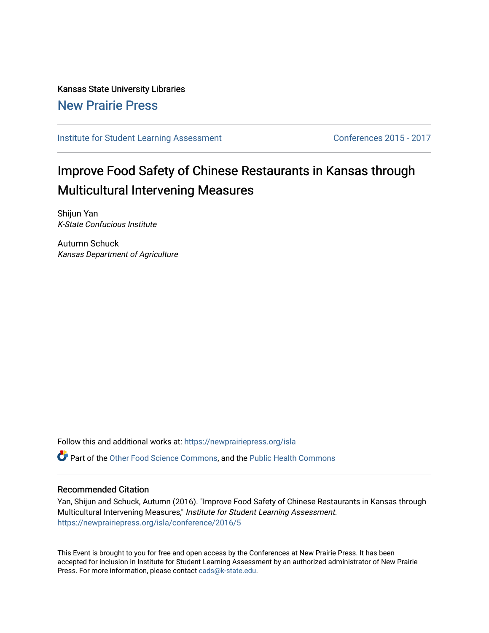### Kansas State University Libraries [New Prairie Press](https://newprairiepress.org/)

### [Institute for Student Learning Assessment](https://newprairiepress.org/isla) Conferences 2015 - 2017

# Improve Food Safety of Chinese Restaurants in Kansas through Multicultural Intervening Measures

Shijun Yan K-State Confucious Institute

Autumn Schuck Kansas Department of Agriculture

Follow this and additional works at: [https://newprairiepress.org/isla](https://newprairiepress.org/isla?utm_source=newprairiepress.org%2Fisla%2Fconference%2F2016%2F5&utm_medium=PDF&utm_campaign=PDFCoverPages) 

Part of the [Other Food Science Commons,](http://network.bepress.com/hgg/discipline/89?utm_source=newprairiepress.org%2Fisla%2Fconference%2F2016%2F5&utm_medium=PDF&utm_campaign=PDFCoverPages) and the [Public Health Commons](http://network.bepress.com/hgg/discipline/738?utm_source=newprairiepress.org%2Fisla%2Fconference%2F2016%2F5&utm_medium=PDF&utm_campaign=PDFCoverPages)

#### Recommended Citation

Yan, Shijun and Schuck, Autumn (2016). "Improve Food Safety of Chinese Restaurants in Kansas through Multicultural Intervening Measures," Institute for Student Learning Assessment. <https://newprairiepress.org/isla/conference/2016/5>

This Event is brought to you for free and open access by the Conferences at New Prairie Press. It has been accepted for inclusion in Institute for Student Learning Assessment by an authorized administrator of New Prairie Press. For more information, please contact [cads@k-state.edu.](mailto:cads@k-state.edu)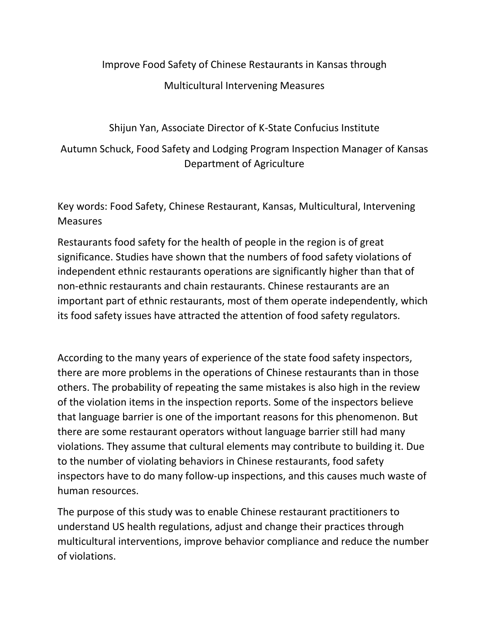### Improve Food Safety of Chinese Restaurants in Kansas through

### Multicultural Intervening Measures

Shijun Yan, Associate Director of K-State Confucius Institute

## Autumn Schuck, Food Safety and Lodging Program Inspection Manager of Kansas Department of Agriculture

Key words: Food Safety, Chinese Restaurant, Kansas, Multicultural, Intervening **Measures** 

Restaurants food safety for the health of people in the region is of great significance. Studies have shown that the numbers of food safety violations of independent ethnic restaurants operations are significantly higher than that of non-ethnic restaurants and chain restaurants. Chinese restaurants are an important part of ethnic restaurants, most of them operate independently, which its food safety issues have attracted the attention of food safety regulators.

According to the many years of experience of the state food safety inspectors, there are more problems in the operations of Chinese restaurants than in those others. The probability of repeating the same mistakes is also high in the review of the violation items in the inspection reports. Some of the inspectors believe that language barrier is one of the important reasons for this phenomenon. But there are some restaurant operators without language barrier still had many violations. They assume that cultural elements may contribute to building it. Due to the number of violating behaviors in Chinese restaurants, food safety inspectors have to do many follow-up inspections, and this causes much waste of human resources.

The purpose of this study was to enable Chinese restaurant practitioners to understand US health regulations, adjust and change their practices through multicultural interventions, improve behavior compliance and reduce the number of violations.